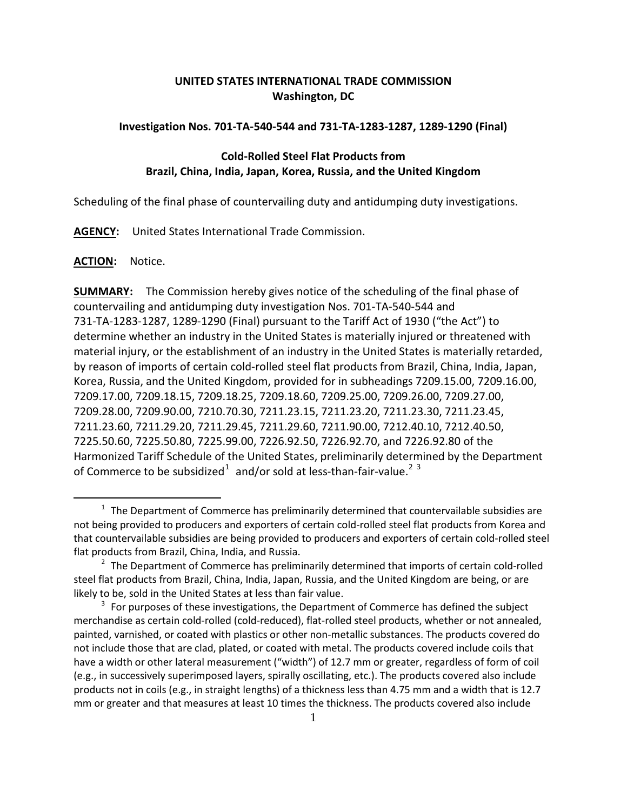# **UNITED STATES INTERNATIONAL TRADE COMMISSION Washington, DC**

### **Investigation Nos. 701-TA-540-544 and 731-TA-1283-1287, 1289-1290 (Final)**

## **Cold-Rolled Steel Flat Products from Brazil, China, India, Japan, Korea, Russia, and the United Kingdom**

Scheduling of the final phase of countervailing duty and antidumping duty investigations.

**AGENCY:** United States International Trade Commission.

#### **ACTION:** Notice.

 $\overline{a}$ 

**SUMMARY:** The Commission hereby gives notice of the scheduling of the final phase of countervailing and antidumping duty investigation Nos. 701-TA-540-544 and 731-TA-1283-1287, 1289-1290 (Final) pursuant to the Tariff Act of 1930 ("the Act") to determine whether an industry in the United States is materially injured or threatened with material injury, or the establishment of an industry in the United States is materially retarded, by reason of imports of certain cold-rolled steel flat products from Brazil, China, India, Japan, Korea, Russia, and the United Kingdom, provided for in subheadings 7209.15.00, 7209.16.00, 7209.17.00, 7209.18.15, 7209.18.25, 7209.18.60, 7209.25.00, 7209.26.00, 7209.27.00, 7209.28.00, 7209.90.00, 7210.70.30, 7211.23.15, 7211.23.20, 7211.23.30, 7211.23.45, 7211.23.60, 7211.29.20, 7211.29.45, 7211.29.60, 7211.90.00, 7212.40.10, 7212.40.50, 7225.50.60, 7225.50.80, 7225.99.00, 7226.92.50, 7226.92.70, and 7226.92.80 of the Harmonized Tariff Schedule of the United States, preliminarily determined by the Department of Commerce to be subsidized<sup>[1](#page-0-0)</sup> and/or sold at less-than-fair-value.<sup>[2](#page-0-1)[3](#page-0-2)</sup>

<span id="page-0-0"></span> $1$  The Department of Commerce has preliminarily determined that countervailable subsidies are not being provided to producers and exporters of certain cold-rolled steel flat products from Korea and that countervailable subsidies are being provided to producers and exporters of certain cold-rolled steel flat products from Brazil, China, India, and Russia.

<span id="page-0-1"></span> $<sup>2</sup>$  The Department of Commerce has preliminarily determined that imports of certain cold-rolled</sup> steel flat products from Brazil, China, India, Japan, Russia, and the United Kingdom are being, or are likely to be, sold in the United States at less than fair value.

<span id="page-0-2"></span> $3$  For purposes of these investigations, the Department of Commerce has defined the subject merchandise as certain cold-rolled (cold-reduced), flat-rolled steel products, whether or not annealed, painted, varnished, or coated with plastics or other non-metallic substances. The products covered do not include those that are clad, plated, or coated with metal. The products covered include coils that have a width or other lateral measurement ("width") of 12.7 mm or greater, regardless of form of coil (e.g., in successively superimposed layers, spirally oscillating, etc.). The products covered also include products not in coils (e.g., in straight lengths) of a thickness less than 4.75 mm and a width that is 12.7 mm or greater and that measures at least 10 times the thickness. The products covered also include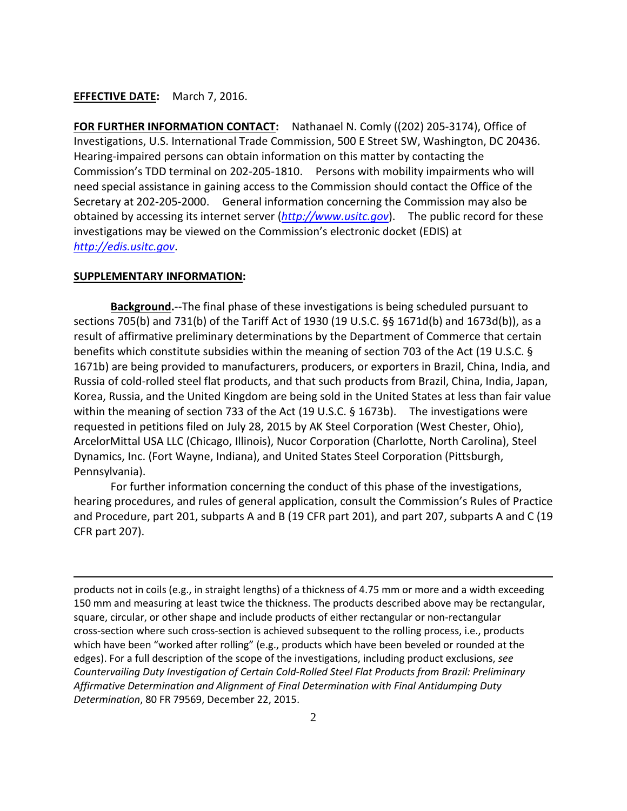## **EFFECTIVE DATE:** March 7, 2016.

**FOR FURTHER INFORMATION CONTACT:** Nathanael N. Comly ((202) 205-3174), Office of Investigations, U.S. International Trade Commission, 500 E Street SW, Washington, DC 20436. Hearing-impaired persons can obtain information on this matter by contacting the Commission's TDD terminal on 202-205-1810. Persons with mobility impairments who will need special assistance in gaining access to the Commission should contact the Office of the Secretary at 202-205-2000. General information concerning the Commission may also be obtained by accessing its internet server (*[http://www.usitc.gov](http://www.usitc.gov/)*). The public record for these investigations may be viewed on the Commission's electronic docket (EDIS) at *[http://edis.usitc.gov](http://edis.usitc.gov/)*.

#### **SUPPLEMENTARY INFORMATION:**

 $\overline{a}$ 

**Background.**--The final phase of these investigations is being scheduled pursuant to sections 705(b) and 731(b) of the Tariff Act of 1930 (19 U.S.C. §§ 1671d(b) and 1673d(b)), as a result of affirmative preliminary determinations by the Department of Commerce that certain benefits which constitute subsidies within the meaning of section 703 of the Act (19 U.S.C. § 1671b) are being provided to manufacturers, producers, or exporters in Brazil, China, India, and Russia of cold-rolled steel flat products, and that such products from Brazil, China, India, Japan, Korea, Russia, and the United Kingdom are being sold in the United States at less than fair value within the meaning of section 733 of the Act (19 U.S.C. § 1673b). The investigations were requested in petitions filed on July 28, 2015 by AK Steel Corporation (West Chester, Ohio), ArcelorMittal USA LLC (Chicago, Illinois), Nucor Corporation (Charlotte, North Carolina), Steel Dynamics, Inc. (Fort Wayne, Indiana), and United States Steel Corporation (Pittsburgh, Pennsylvania).

For further information concerning the conduct of this phase of the investigations, hearing procedures, and rules of general application, consult the Commission's Rules of Practice and Procedure, part 201, subparts A and B (19 CFR part 201), and part 207, subparts A and C (19 CFR part 207).

products not in coils (e.g., in straight lengths) of a thickness of 4.75 mm or more and a width exceeding 150 mm and measuring at least twice the thickness. The products described above may be rectangular, square, circular, or other shape and include products of either rectangular or non-rectangular cross-section where such cross-section is achieved subsequent to the rolling process, i.e., products which have been "worked after rolling" (e.g., products which have been beveled or rounded at the edges). For a full description of the scope of the investigations, including product exclusions, *see Countervailing Duty Investigation of Certain Cold-Rolled Steel Flat Products from Brazil: Preliminary Affirmative Determination and Alignment of Final Determination with Final Antidumping Duty Determination*, 80 FR 79569, December 22, 2015.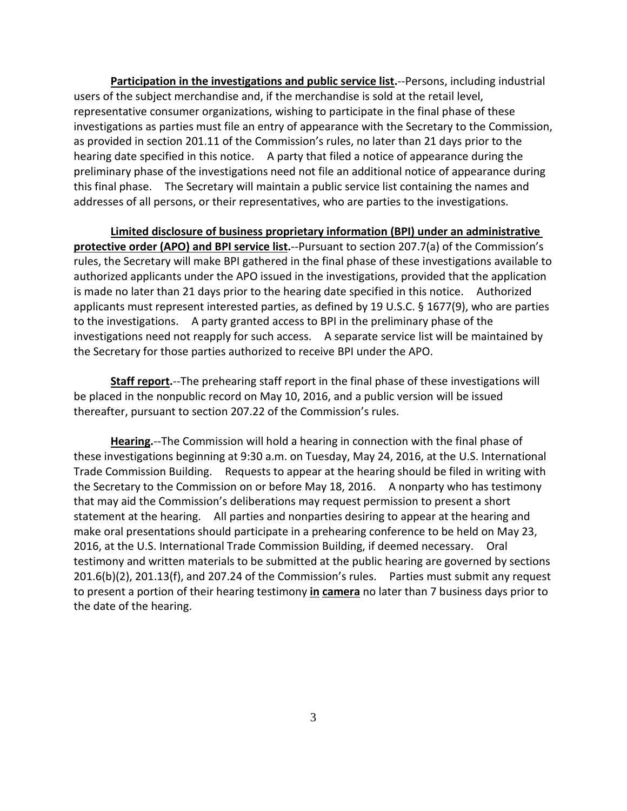**Participation in the investigations and public service list.**--Persons, including industrial users of the subject merchandise and, if the merchandise is sold at the retail level, representative consumer organizations, wishing to participate in the final phase of these investigations as parties must file an entry of appearance with the Secretary to the Commission, as provided in section 201.11 of the Commission's rules, no later than 21 days prior to the hearing date specified in this notice. A party that filed a notice of appearance during the preliminary phase of the investigations need not file an additional notice of appearance during this final phase. The Secretary will maintain a public service list containing the names and addresses of all persons, or their representatives, who are parties to the investigations.

**Limited disclosure of business proprietary information (BPI) under an administrative protective order (APO) and BPI service list.**--Pursuant to section 207.7(a) of the Commission's rules, the Secretary will make BPI gathered in the final phase of these investigations available to authorized applicants under the APO issued in the investigations, provided that the application is made no later than 21 days prior to the hearing date specified in this notice. Authorized applicants must represent interested parties, as defined by 19 U.S.C. § 1677(9), who are parties to the investigations. A party granted access to BPI in the preliminary phase of the investigations need not reapply for such access. A separate service list will be maintained by the Secretary for those parties authorized to receive BPI under the APO.

**Staff report.**--The prehearing staff report in the final phase of these investigations will be placed in the nonpublic record on May 10, 2016, and a public version will be issued thereafter, pursuant to section 207.22 of the Commission's rules.

**Hearing.**--The Commission will hold a hearing in connection with the final phase of these investigations beginning at 9:30 a.m. on Tuesday, May 24, 2016, at the U.S. International Trade Commission Building. Requests to appear at the hearing should be filed in writing with the Secretary to the Commission on or before May 18, 2016. A nonparty who has testimony that may aid the Commission's deliberations may request permission to present a short statement at the hearing. All parties and nonparties desiring to appear at the hearing and make oral presentations should participate in a prehearing conference to be held on May 23, 2016, at the U.S. International Trade Commission Building, if deemed necessary. Oral testimony and written materials to be submitted at the public hearing are governed by sections 201.6(b)(2), 201.13(f), and 207.24 of the Commission's rules. Parties must submit any request to present a portion of their hearing testimony **in camera** no later than 7 business days prior to the date of the hearing.